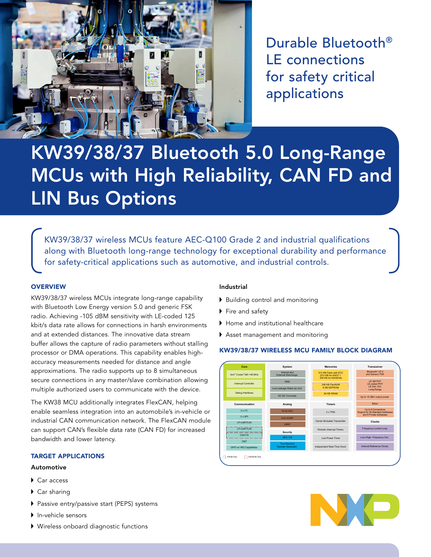

Durable Bluetooth® LE connections for safety critical applications

# KW39/38/37 Bluetooth 5.0 Long-Range MCUs with High Reliability, CAN FD and LIN Bus Options

KW39/38/37 wireless MCUs feature AEC-Q100 Grade 2 and industrial qualifications along with Bluetooth long-range technology for exceptional durability and performance for safety-critical applications such as automotive, and industrial controls.

# **OVERVIEW**

KW39/38/37 wireless MCUs integrate long-range capability with Bluetooth Low Energy version 5.0 and generic FSK radio. Achieving -105 dBM sensitivity with LE-coded 125 kbit/s data rate allows for connections in harsh environments and at extended distances. The innovative data stream buffer allows the capture of radio parameters without stalling processor or DMA operations. This capability enables highaccuracy measurements needed for distance and angle approximations. The radio supports up to 8 simultaneous secure connections in any master/slave combination allowing multiple authorized users to communicate with the device.

The KW38 MCU additionally integrates FlexCAN, helping enable seamless integration into an automobile's in-vehicle or industrial CAN communication network. The FlexCAN module can support CAN's flexible data rate (CAN FD) for increased bandwidth and lower latency.

# TARGET APPLICATIONS

#### Automotive

- Car access
- ▶ Car sharing
- ▶ Passive entry/passive start (PEPS) systems
- $\blacktriangleright$  In-vehicle sensors
- Wireless onboard diagnostic functions

# Industrial

- Building control and monitoring
- Fire and safety
- Home and institutional healthcare
- Asset management and monitoring

# KW39/38/37 WIRELESS MCU FAMILY BLOCK DIAGRAM